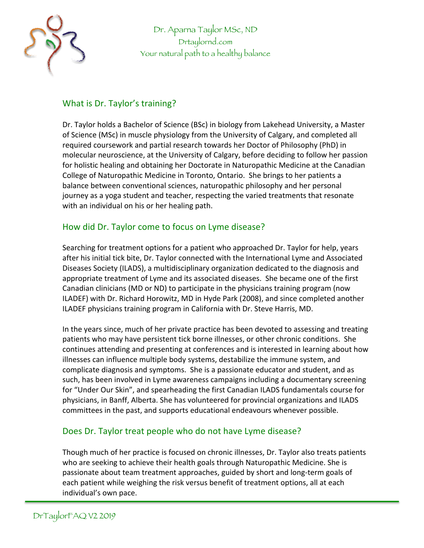

Dr. Aparna Taylor MSc, ND Drtaylornd.com Your natural path to a healthy balance

### What is Dr. Taylor's training?

Dr. Taylor holds a Bachelor of Science (BSc) in biology from Lakehead University, a Master of Science (MSc) in muscle physiology from the University of Calgary, and completed all required coursework and partial research towards her Doctor of Philosophy (PhD) in molecular neuroscience, at the University of Calgary, before deciding to follow her passion for holistic healing and obtaining her Doctorate in Naturopathic Medicine at the Canadian College of Naturopathic Medicine in Toronto, Ontario. She brings to her patients a balance between conventional sciences, naturopathic philosophy and her personal journey as a yoga student and teacher, respecting the varied treatments that resonate with an individual on his or her healing path.

#### How did Dr. Taylor come to focus on Lyme disease?

Searching for treatment options for a patient who approached Dr. Taylor for help, years after his initial tick bite, Dr. Taylor connected with the International Lyme and Associated Diseases Society (ILADS), a multidisciplinary organization dedicated to the diagnosis and appropriate treatment of Lyme and its associated diseases. She became one of the first Canadian clinicians (MD or ND) to participate in the physicians training program (now ILADEF) with Dr. Richard Horowitz, MD in Hyde Park (2008), and since completed another ILADEF physicians training program in California with Dr. Steve Harris, MD.

In the years since, much of her private practice has been devoted to assessing and treating patients who may have persistent tick borne illnesses, or other chronic conditions. She continues attending and presenting at conferences and is interested in learning about how illnesses can influence multiple body systems, destabilize the immune system, and complicate diagnosis and symptoms. She is a passionate educator and student, and as such, has been involved in Lyme awareness campaigns including a documentary screening for "Under Our Skin", and spearheading the first Canadian ILADS fundamentals course for physicians, in Banff, Alberta. She has volunteered for provincial organizations and ILADS committees in the past, and supports educational endeavours whenever possible.

# Does Dr. Taylor treat people who do not have Lyme disease?

Though much of her practice is focused on chronic illnesses, Dr. Taylor also treats patients who are seeking to achieve their health goals through Naturopathic Medicine. She is passionate about team treatment approaches, guided by short and long-term goals of each patient while weighing the risk versus benefit of treatment options, all at each individual's own pace.